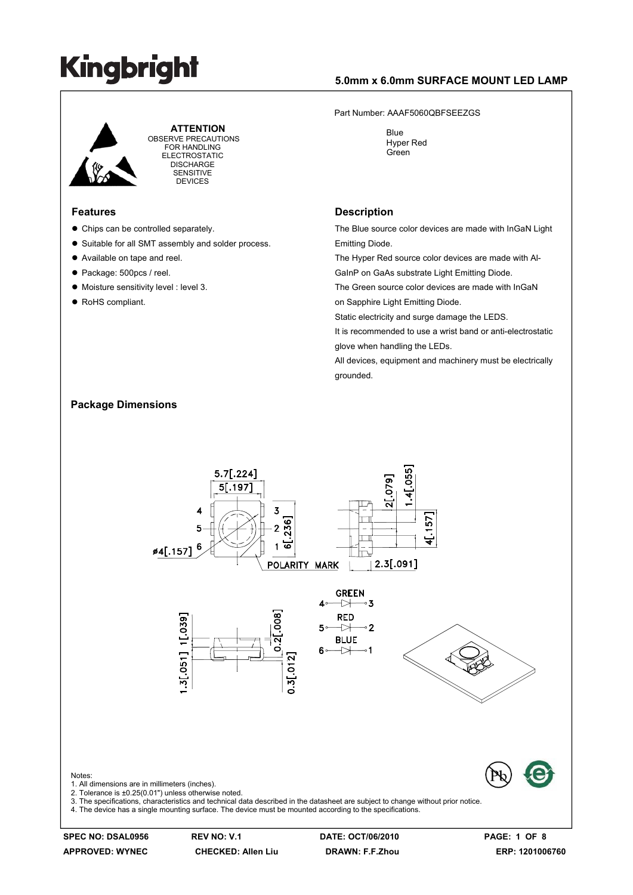### **5.0mm x 6.0mm SURFACE MOUNT LED LAMP**

 **ATTENTION** OBSERVE PRECAUTIONS FOR HANDLING ELECTROSTATIC **DISCHARGE** SENSITIVE DEVICES

#### **Features**

- $\bullet$  Chips can be controlled separately.
- Suitable for all SMT assembly and solder process.
- Available on tape and reel.
- Package: 500pcs / reel.

**Package Dimensions** 

- $\bullet$  Moisture sensitivity level : level 3.
- RoHS compliant.

#### Part Number: AAAF5060QBFSEEZGS

 Blue Hyper Red Green

#### **Description**

The Blue source color devices are made with InGaN Light Emitting Diode.

The Hyper Red source color devices are made with Al-GaInP on GaAs substrate Light Emitting Diode.

The Green source color devices are made with InGaN on Sapphire Light Emitting Diode.

Static electricity and surge damage the LEDS.

It is recommended to use a wrist band or anti-electrostatic glove when handling the LEDs.

All devices, equipment and machinery must be electrically grounded.



### **SPEC NO: DSAL0956 REV NO: V.1 DATE: OCT/06/2010 PAGE: 1 OF 8**

**APPROVED: WYNEC CHECKED: Allen Liu DRAWN: F.F.Zhou ERP: 1201006760**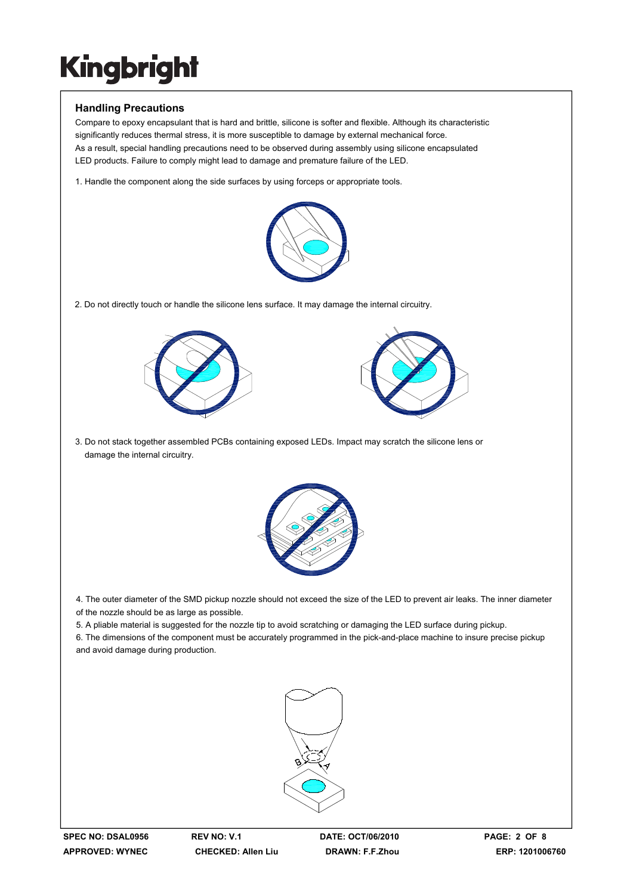### **Handling Precautions**

Compare to epoxy encapsulant that is hard and brittle, silicone is softer and flexible. Although its characteristic significantly reduces thermal stress, it is more susceptible to damage by external mechanical force. As a result, special handling precautions need to be observed during assembly using silicone encapsulated LED products. Failure to comply might lead to damage and premature failure of the LED.

1. Handle the component along the side surfaces by using forceps or appropriate tools.



2. Do not directly touch or handle the silicone lens surface. It may damage the internal circuitry.





3. Do not stack together assembled PCBs containing exposed LEDs. Impact may scratch the silicone lens or damage the internal circuitry.



4. The outer diameter of the SMD pickup nozzle should not exceed the size of the LED to prevent air leaks. The inner diameter of the nozzle should be as large as possible.

5. A pliable material is suggested for the nozzle tip to avoid scratching or damaging the LED surface during pickup.

6. The dimensions of the component must be accurately programmed in the pick-and-place machine to insure precise pickup and avoid damage during production.

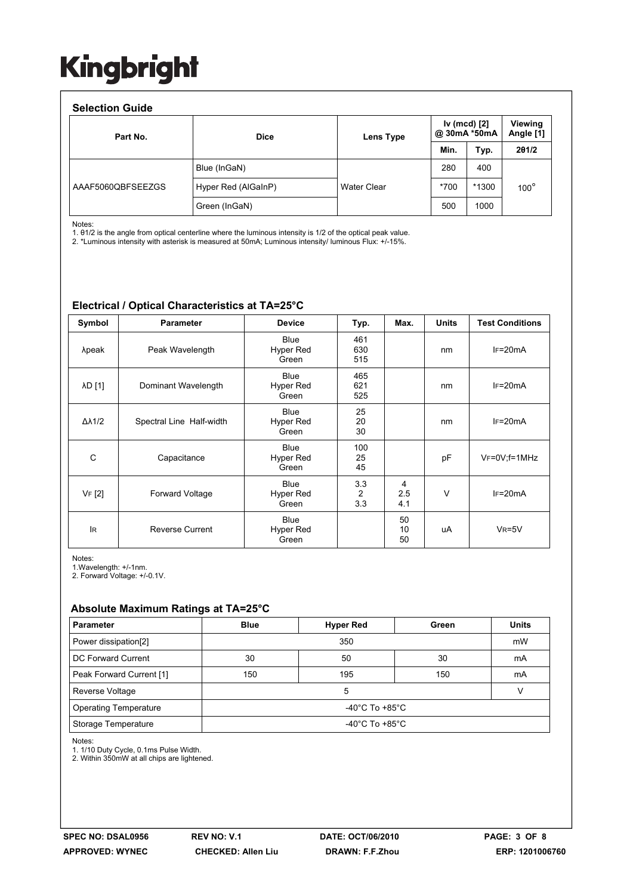### **Selection Guide**

| <b>OBIBUTION QUIDE</b><br>Part No. | <b>Dice</b>         | Lens Type          | Iv (mcd) [2]<br>@ 30mA *50mA |       | Viewing<br>Angle [1] |
|------------------------------------|---------------------|--------------------|------------------------------|-------|----------------------|
|                                    |                     |                    | Min.                         | Typ.  | 201/2                |
|                                    | Blue (InGaN)        |                    | 280                          | 400   | $100^\circ$          |
| AAAF5060QBFSEEZGS                  | Hyper Red (AlGaInP) | <b>Water Clear</b> | $*700$                       | *1300 |                      |
|                                    | Green (InGaN)       |                    | 500                          | 1000  |                      |

Notes:

1. θ1/2 is the angle from optical centerline where the luminous intensity is 1/2 of the optical peak value.

2. \*Luminous intensity with asterisk is measured at 50mA; Luminous intensity/ luminous Flux: +/-15%.

| Symbol              | <b>Parameter</b>         | <b>Device</b>                     | Typ.                         | Max.            | <b>Units</b> | <b>Test Conditions</b> |
|---------------------|--------------------------|-----------------------------------|------------------------------|-----------------|--------------|------------------------|
| λpeak               | Peak Wavelength          | <b>Blue</b><br>Hyper Red<br>Green | 461<br>630<br>515            |                 | nm           | $IF=20mA$              |
| λD [1]              | Dominant Wavelength      | <b>Blue</b><br>Hyper Red<br>Green | 465<br>621<br>525            |                 | nm           | $IF=20mA$              |
| $\Delta\lambda$ 1/2 | Spectral Line Half-width | <b>Blue</b><br>Hyper Red<br>Green | 25<br>20<br>30               |                 | nm           | $IF=20mA$              |
| С                   | Capacitance              | <b>Blue</b><br>Hyper Red<br>Green | 100<br>25<br>45              |                 | pF           | $VF=0V; f=1MHz$        |
| VF [2]              | Forward Voltage          | <b>Blue</b><br>Hyper Red<br>Green | 3.3<br>$\overline{2}$<br>3.3 | 4<br>2.5<br>4.1 | V            | $IF=20mA$              |
| <b>IR</b>           | <b>Reverse Current</b>   | <b>Blue</b><br>Hyper Red<br>Green |                              | 50<br>10<br>50  | uA           | $V_R = 5V$             |

#### **Electrical / Optical Characteristics at TA=25°C**

Notes:

1.Wavelength: +/-1nm.

2. Forward Voltage: +/-0.1V.

### **Absolute Maximum Ratings at TA=25°C**

| <b>Parameter</b>             | <b>Blue</b>                          | <b>Hyper Red</b> | Green | <b>Units</b> |  |  |  |
|------------------------------|--------------------------------------|------------------|-------|--------------|--|--|--|
| Power dissipation[2]         |                                      | mW               |       |              |  |  |  |
| DC Forward Current           | 30                                   | 50               | 30    | mA           |  |  |  |
| Peak Forward Current [1]     | 150                                  | 195              | 150   | mA           |  |  |  |
| Reverse Voltage              |                                      |                  |       |              |  |  |  |
| <b>Operating Temperature</b> | $-40^{\circ}$ C To +85 $^{\circ}$ C  |                  |       |              |  |  |  |
| Storage Temperature          | -40 $^{\circ}$ C To +85 $^{\circ}$ C |                  |       |              |  |  |  |

Notes:

1. 1/10 Duty Cycle, 0.1ms Pulse Width.

2. Within 350mW at all chips are lightened.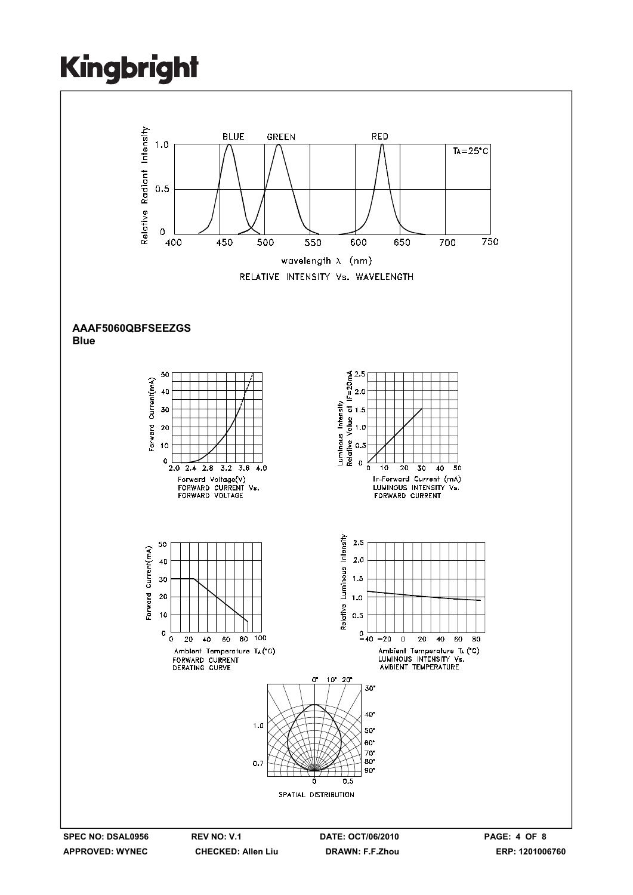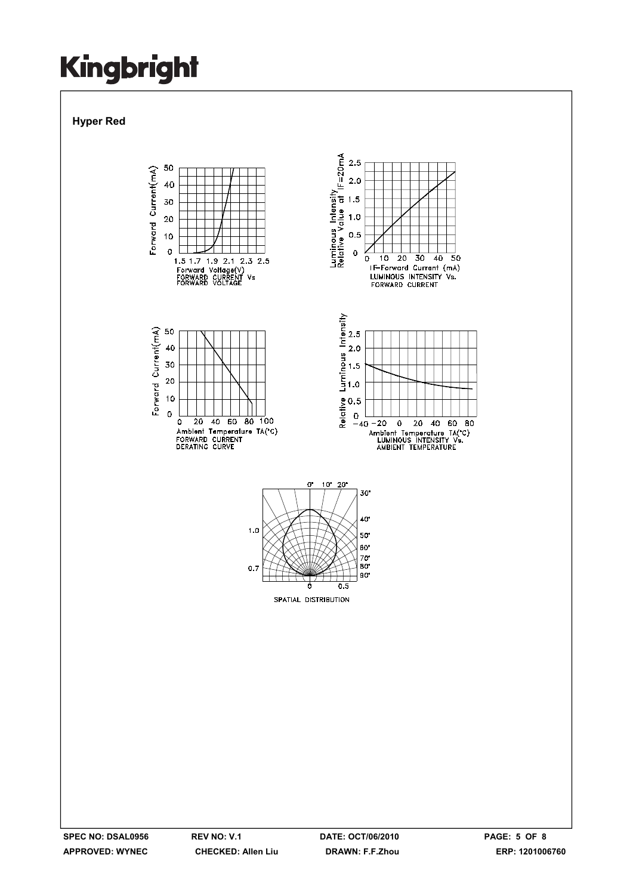**Hyper Red** 

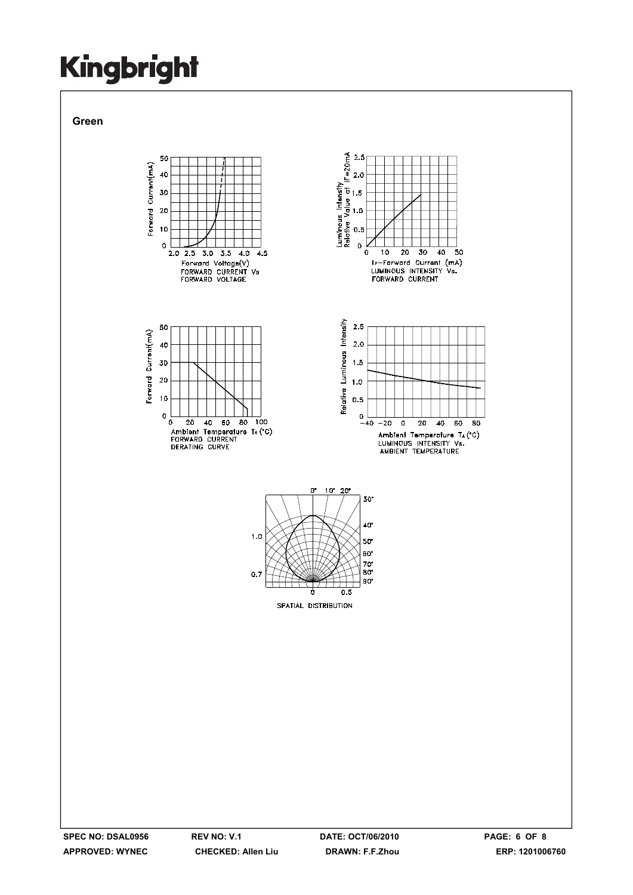**Green** 

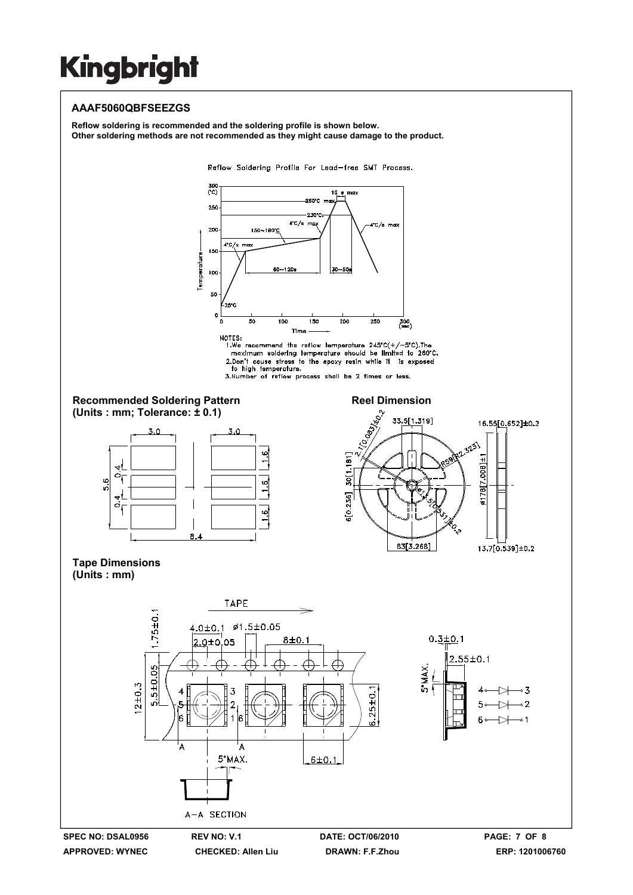### **AAAF5060QBFSEEZGS**

**Reflow soldering is recommended and the soldering profile is shown below. Other soldering methods are not recommended as they might cause damage to the product.** 

Reflow Soldering Profile For Lead-free SMT Process.



to high temperature.<br>
3.Number of reflow process shall be 2 times or less.













**APPROVED: WYNEC CHECKED: Allen Liu DRAWN: F.F.Zhou ERP: 1201006760** 

13.7[0.539]±0.2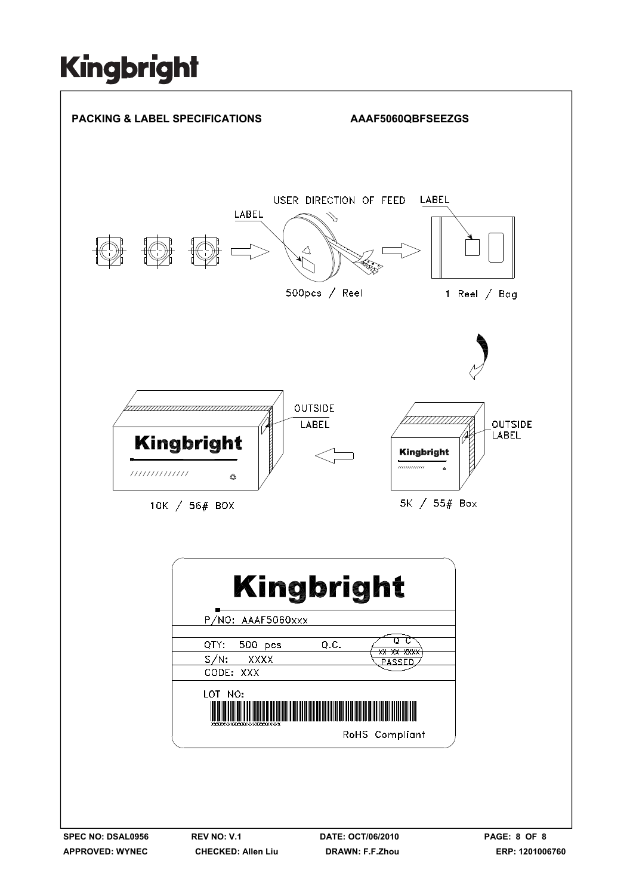